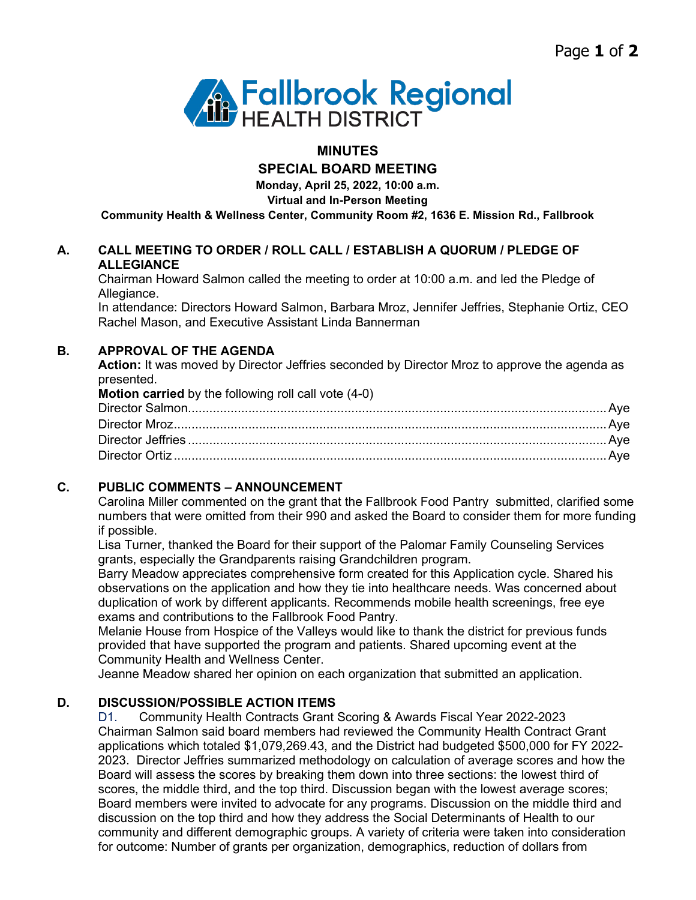

# **MINUTES**

**SPECIAL BOARD MEETING**

**Monday, April 25, 2022, 10:00 a.m.**

**Virtual and In-Person Meeting**

**Community Health & Wellness Center, Community Room #2, 1636 E. Mission Rd., Fallbrook**

## **A. CALL MEETING TO ORDER / ROLL CALL / ESTABLISH A QUORUM / PLEDGE OF ALLEGIANCE**

Chairman Howard Salmon called the meeting to order at 10:00 a.m. and led the Pledge of Allegiance.

In attendance: Directors Howard Salmon, Barbara Mroz, Jennifer Jeffries, Stephanie Ortiz, CEO Rachel Mason, and Executive Assistant Linda Bannerman

### **B. APPROVAL OF THE AGENDA**

**Action:** It was moved by Director Jeffries seconded by Director Mroz to approve the agenda as presented.

| Motion carried by the following roll call vote (4-0) |  |
|------------------------------------------------------|--|
|                                                      |  |
|                                                      |  |
|                                                      |  |
|                                                      |  |
|                                                      |  |

### **C. PUBLIC COMMENTS – ANNOUNCEMENT**

Carolina Miller commented on the grant that the Fallbrook Food Pantry submitted, clarified some numbers that were omitted from their 990 and asked the Board to consider them for more funding if possible.

Lisa Turner, thanked the Board for their support of the Palomar Family Counseling Services grants, especially the Grandparents raising Grandchildren program.

Barry Meadow appreciates comprehensive form created for this Application cycle. Shared his observations on the application and how they tie into healthcare needs. Was concerned about duplication of work by different applicants. Recommends mobile health screenings, free eye exams and contributions to the Fallbrook Food Pantry.

Melanie House from Hospice of the Valleys would like to thank the district for previous funds provided that have supported the program and patients. Shared upcoming event at the Community Health and Wellness Center.

Jeanne Meadow shared her opinion on each organization that submitted an application.

### **D. DISCUSSION/POSSIBLE ACTION ITEMS**

D1. Community Health Contracts Grant Scoring & Awards Fiscal Year 2022-2023 Chairman Salmon said board members had reviewed the Community Health Contract Grant applications which totaled \$1,079,269.43, and the District had budgeted \$500,000 for FY 2022- 2023. Director Jeffries summarized methodology on calculation of average scores and how the Board will assess the scores by breaking them down into three sections: the lowest third of scores, the middle third, and the top third. Discussion began with the lowest average scores; Board members were invited to advocate for any programs. Discussion on the middle third and discussion on the top third and how they address the Social Determinants of Health to our community and different demographic groups. A variety of criteria were taken into consideration for outcome: Number of grants per organization, demographics, reduction of dollars from